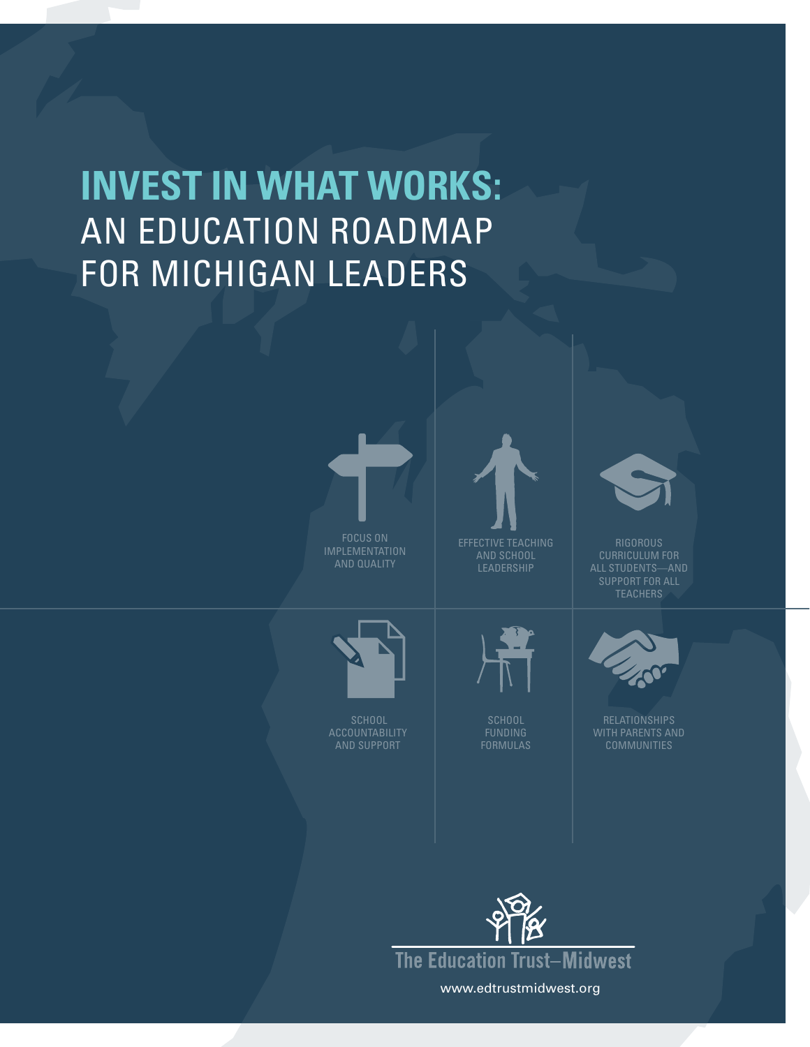# **Invest in What Works:**  AN EDUCATION ROADMAP FOR MICHIGAN LEADERS



FOCUS and quality



and School **LEADERSHIP** 



Rigorous CURRICULUM FOR Teachers



Relationships



Accountability and Support



Formulas

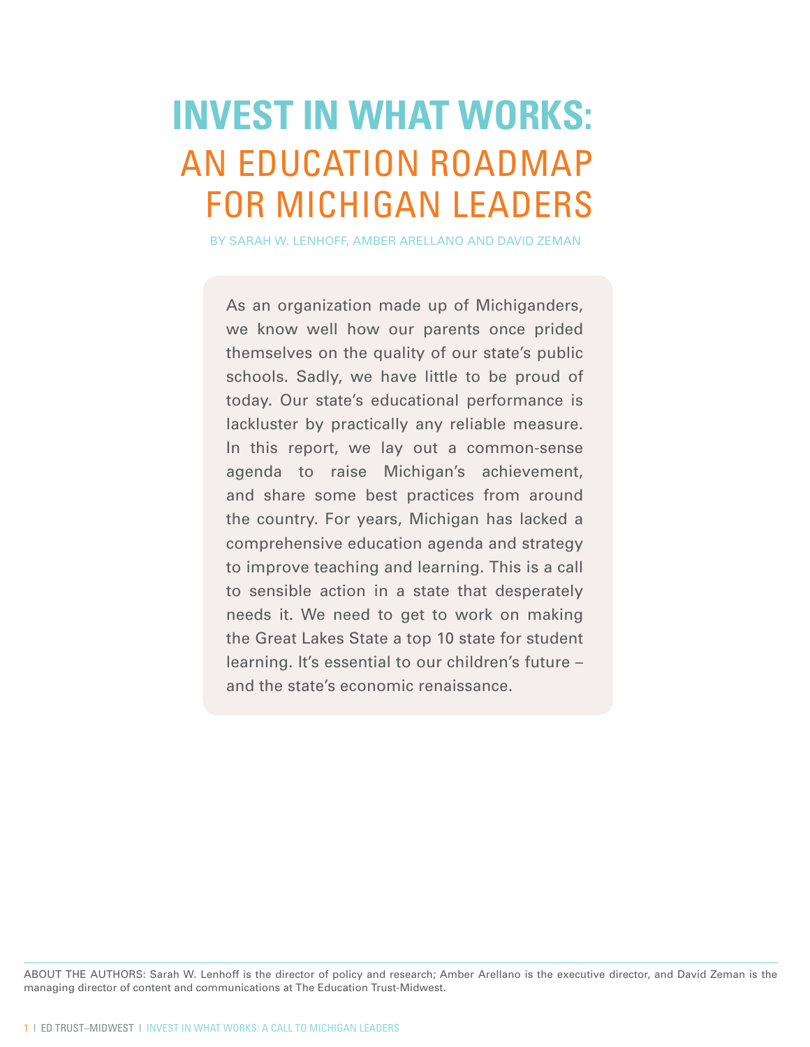# **Invest in What Works:**  AN EDUCATION ROADMAP FOR MICHIGAN LEADERS

By Sarah W. Lenhoff, Amber Arellano and David Zeman

As an organization made up of Michiganders, we know well how our parents once prided themselves on the quality of our state's public schools. Sadly, we have little to be proud of today. Our state's educational performance is lackluster by practically any reliable measure. In this report, we lay out a common-sense agenda to raise Michigan's achievement, and share some best practices from around the country. For years, Michigan has lacked a comprehensive education agenda and strategy to improve teaching and learning. This is a call to sensible action in a state that desperately needs it. We need to get to work on making the Great Lakes State a top 10 state for student learning. It's essential to our children's future – and the state's economic renaissance.

ABOUT THE AUTHORS: Sarah W. Lenhoff is the director of policy and research; Amber Arellano is the executive director, and David Zeman is the managing director of content and communications at The Education Trust-Midwest.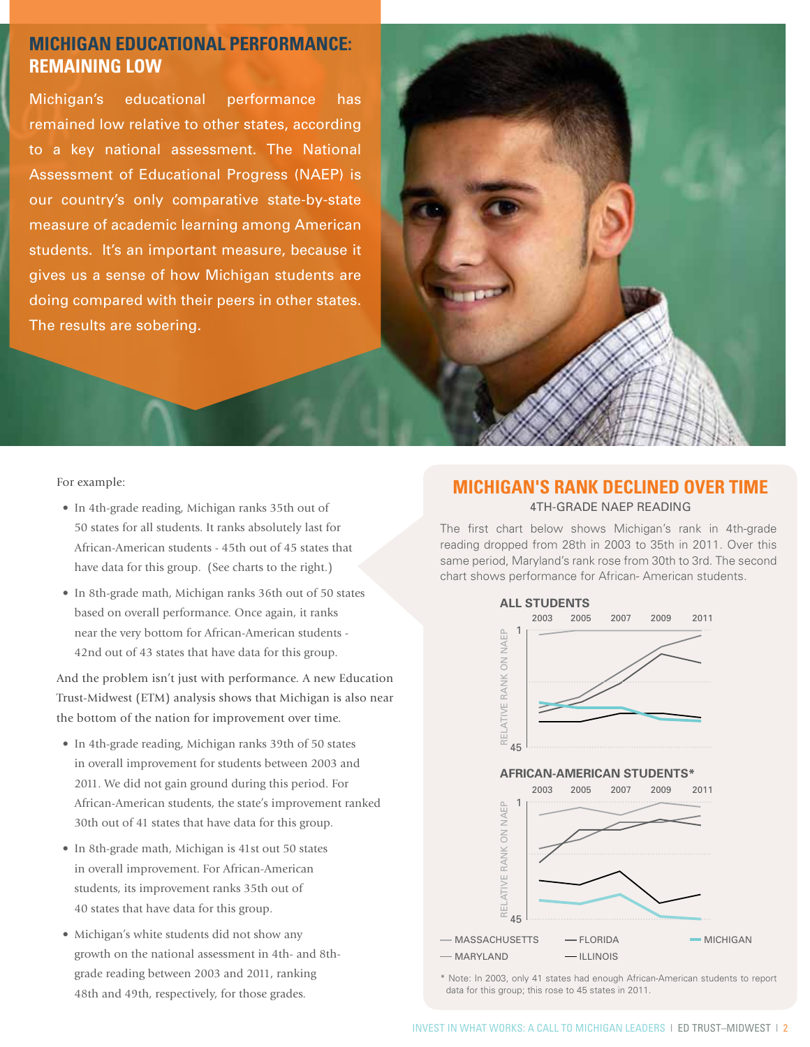## **Michigan Educational Performance: REMAINING LOW**

Michigan's educational performance has remained low relative to other states, according to a key national assessment. The National Assessment of Educational Progress (NAEP) is our country's only comparative state-by-state measure of academic learning among American students. It's an important measure, because it gives us a sense of how Michigan students are doing compared with their peers in other states. The results are sobering.



For example:

- In 4th-grade reading, Michigan ranks 35th out of 50 states for all students. It ranks absolutely last for African-American students - 45th out of 45 states that have data for this group. (See charts to the right.)
- In 8th-grade math, Michigan ranks 36th out of 50 states based on overall performance. Once again, it ranks near the very bottom for African-American students - 42nd out of 43 states that have data for this group.

And the problem isn't just with performance. A new Education Trust-Midwest (ETM) analysis shows that Michigan is also near the bottom of the nation for improvement over time.

- In 4th-grade reading, Michigan ranks 39th of 50 states in overall improvement for students between 2003 and 2011. We did not gain ground during this period. For African-American students, the state's improvement ranked 30th out of 41 states that have data for this group.
- In 8th-grade math, Michigan is 41st out 50 states in overall improvement. For African-American students, its improvement ranks 35th out of 40 states that have data for this group.
- Michigan's white students did not show any growth on the national assessment in 4th- and 8thgrade reading between 2003 and 2011, ranking 48th and 49th, respectively, for those grades.

## **Michigan's rank Declined over time** 4th-Grade NAEP Reading

The first chart below shows Michigan's rank in 4th-grade reading dropped from 28th in 2003 to 35th in 2011. Over this same period, Maryland's rank rose from 30th to 3rd. The second chart shows performance for African- American students.



\* Note: In 2003, only 41 states had enough African-American students to report data for this group; this rose to 45 states in 2011.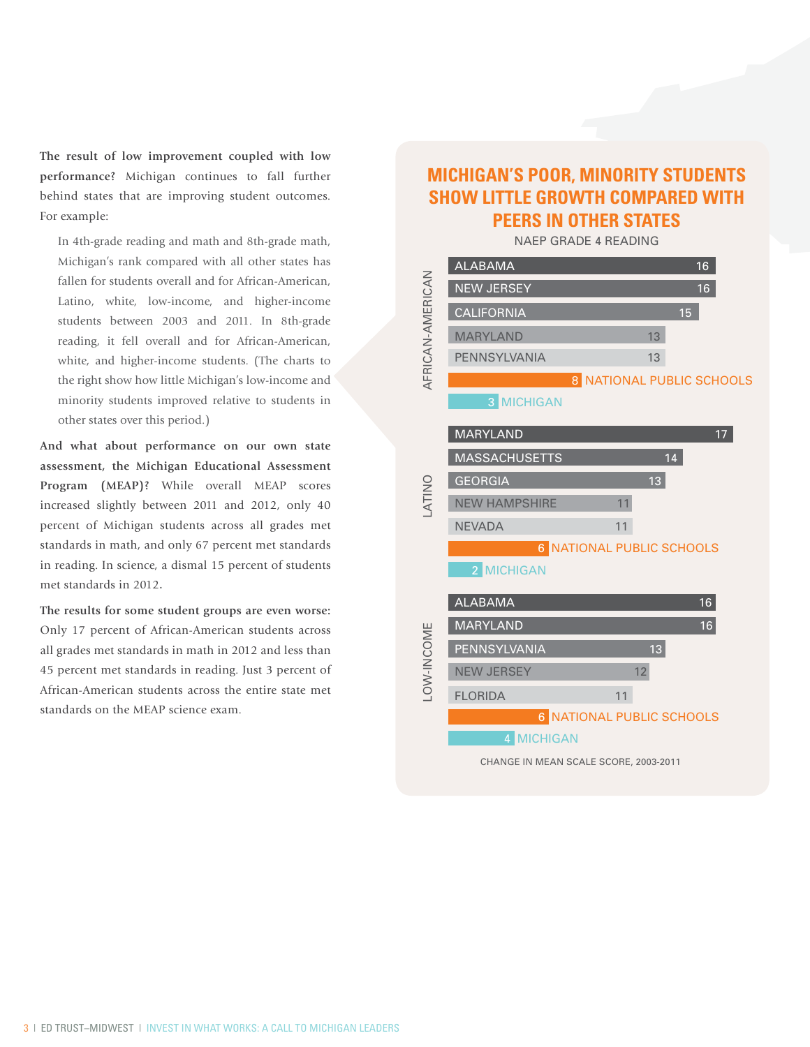**The result of low improvement coupled with low performance?** Michigan continues to fall further behind states that are improving student outcomes. For example:

In 4th-grade reading and math and 8th-grade math, Michigan's rank compared with all other states has fallen for students overall and for African-American, Latino, white, low-income, and higher-income students between 2003 and 2011. In 8th-grade reading, it fell overall and for African-American, white, and higher-income students. (The charts to the right show how little Michigan's low-income and minority students improved relative to students in other states over this period.)

**And what about performance on our own state assessment, the Michigan Educational Assessment Program (MEAP)?** While overall MEAP scores increased slightly between 2011 and 2012, only 40 percent of Michigan students across all grades met standards in math, and only 67 percent met standards in reading. In science, a dismal 15 percent of students met standards in 2012.

**The results for some student groups are even worse:**  Only 17 percent of African-American students across all grades met standards in math in 2012 and less than 45 percent met standards in reading. Just 3 percent of African-American students across the entire state met standards on the MEAP science exam.

## **MICHIGAN'S POOR, MINORITY STUDENTS SHOW LITTLE GROWTH COMPARED WITH PEERS IN OTHER STATES**

NAEP Grade 4 Reading

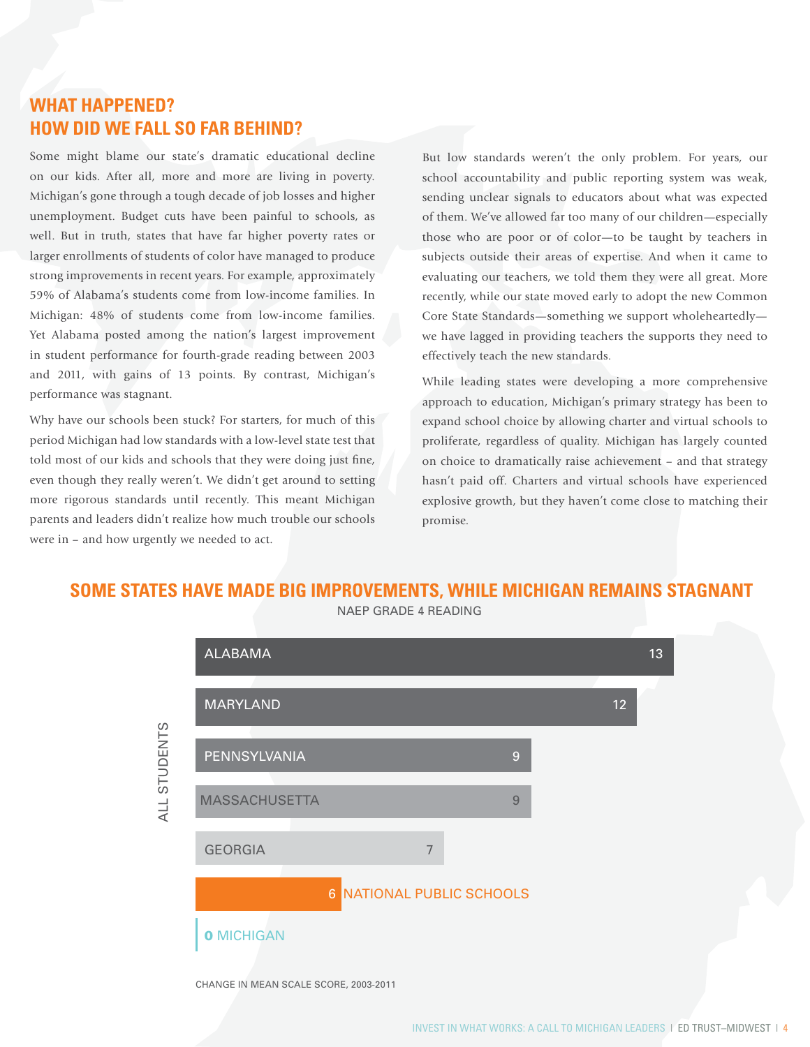## **What Happened? How Did We Fall So Far Behind?**

Some might blame our state's dramatic educational decline on our kids. After all, more and more are living in poverty. Michigan's gone through a tough decade of job losses and higher unemployment. Budget cuts have been painful to schools, as well. But in truth, states that have far higher poverty rates or larger enrollments of students of color have managed to produce strong improvements in recent years. For example, approximately 59% of Alabama's students come from low-income families. In Michigan: 48% of students come from low-income families. Yet Alabama posted among the nation's largest improvement in student performance for fourth-grade reading between 2003 and 2011, with gains of 13 points. By contrast, Michigan's performance was stagnant.

Why have our schools been stuck? For starters, for much of this period Michigan had low standards with a low-level state test that told most of our kids and schools that they were doing just fine, even though they really weren't. We didn't get around to setting more rigorous standards until recently. This meant Michigan parents and leaders didn't realize how much trouble our schools were in – and how urgently we needed to act.

But low standards weren't the only problem. For years, our school accountability and public reporting system was weak, sending unclear signals to educators about what was expected of them. We've allowed far too many of our children—especially those who are poor or of color—to be taught by teachers in subjects outside their areas of expertise. And when it came to evaluating our teachers, we told them they were all great. More recently, while our state moved early to adopt the new Common Core State Standards—something we support wholeheartedly we have lagged in providing teachers the supports they need to effectively teach the new standards.

While leading states were developing a more comprehensive approach to education, Michigan's primary strategy has been to expand school choice by allowing charter and virtual schools to proliferate, regardless of quality. Michigan has largely counted on choice to dramatically raise achievement – and that strategy hasn't paid off. Charters and virtual schools have experienced explosive growth, but they haven't come close to matching their promise.

## **SOME STATES HAVE MADE BIG IMPROVEMENTS, WHILE MICHIGAN REMAINS STAGNANT**



NAEP Grade 4 Reading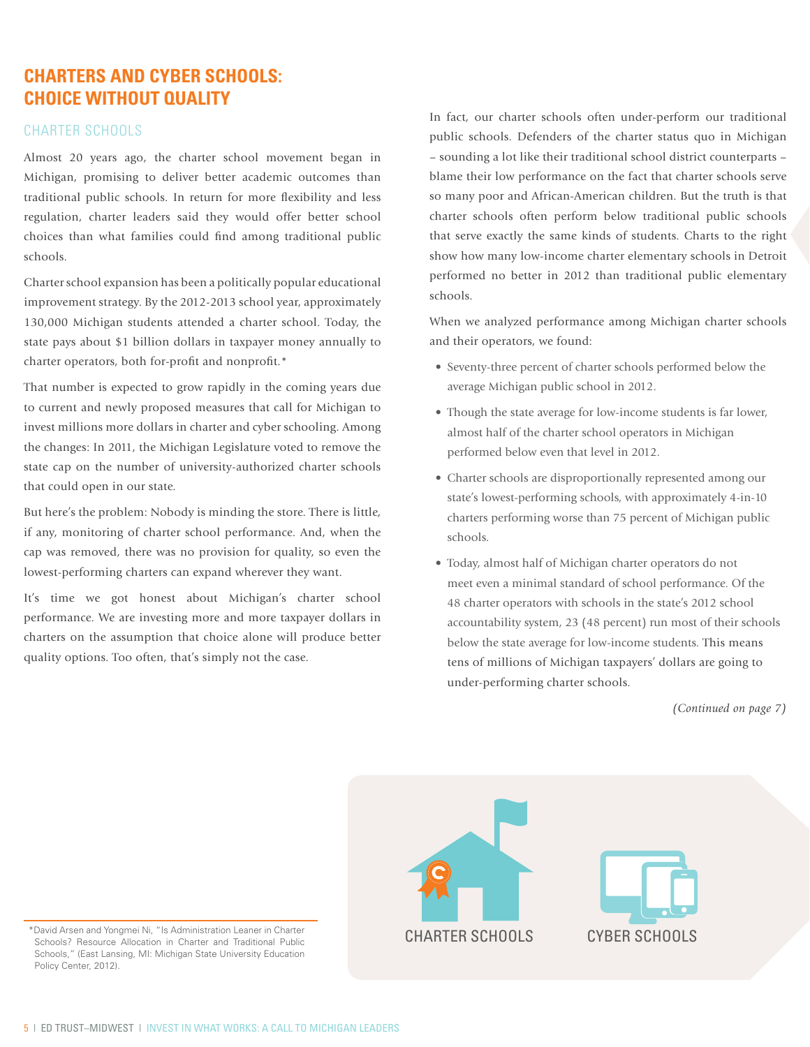## **Charters and CYBER Schools: Choice Without Quality**

### Charter Schools

Almost 20 years ago, the charter school movement began in Michigan, promising to deliver better academic outcomes than traditional public schools. In return for more flexibility and less regulation, charter leaders said they would offer better school choices than what families could find among traditional public schools.

Charter school expansion has been a politically popular educational improvement strategy. By the 2012-2013 school year, approximately 130,000 Michigan students attended a charter school. Today, the state pays about \$1 billion dollars in taxpayer money annually to charter operators, both for-profit and nonprofit.\*

That number is expected to grow rapidly in the coming years due to current and newly proposed measures that call for Michigan to invest millions more dollars in charter and cyber schooling. Among the changes: In 2011, the Michigan Legislature voted to remove the state cap on the number of university-authorized charter schools that could open in our state.

But here's the problem: Nobody is minding the store. There is little, if any, monitoring of charter school performance. And, when the cap was removed, there was no provision for quality, so even the lowest-performing charters can expand wherever they want.

It's time we got honest about Michigan's charter school performance. We are investing more and more taxpayer dollars in charters on the assumption that choice alone will produce better quality options. Too often, that's simply not the case.

In fact, our charter schools often under-perform our traditional public schools. Defenders of the charter status quo in Michigan – sounding a lot like their traditional school district counterparts – blame their low performance on the fact that charter schools serve so many poor and African-American children. But the truth is that charter schools often perform below traditional public schools that serve exactly the same kinds of students. Charts to the right show how many low-income charter elementary schools in Detroit performed no better in 2012 than traditional public elementary schools.

When we analyzed performance among Michigan charter schools and their operators, we found:

- Seventy-three percent of charter schools performed below the average Michigan public school in 2012.
- Though the state average for low-income students is far lower, almost half of the charter school operators in Michigan performed below even that level in 2012.
- Charter schools are disproportionally represented among our state's lowest-performing schools, with approximately 4-in-10 charters performing worse than 75 percent of Michigan public schools.
- Today, almost half of Michigan charter operators do not meet even a minimal standard of school performance. Of the 48 charter operators with schools in the state's 2012 school accountability system, 23 (48 percent) run most of their schools below the state average for low-income students. This means tens of millions of Michigan taxpayers' dollars are going to under-performing charter schools.

*(Continued on page 7)*



Schools? Resource Allocation in Charter and Traditional Public Schools," (East Lansing, MI: Michigan State University Education Policy Center, 2012).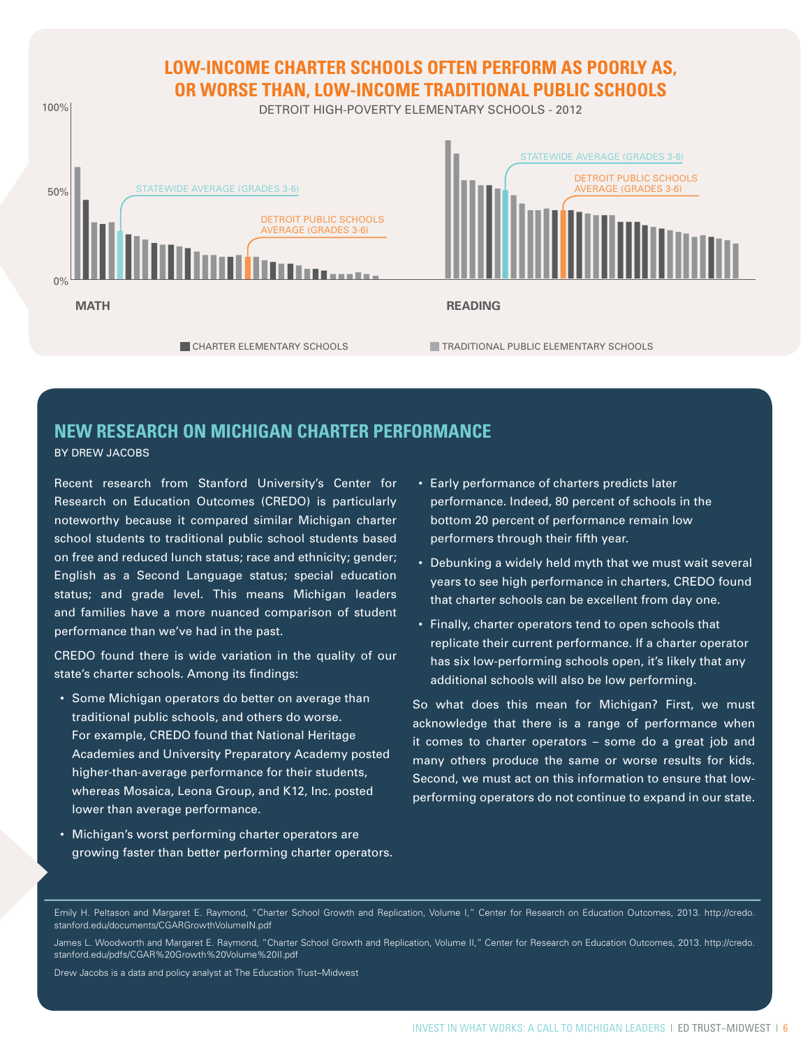

## **New Research on Michigan Charter Performance**

By Drew Jacobs

Recent research from Stanford University's Center for Research on Education Outcomes (CREDO) is particularly noteworthy because it compared similar Michigan charter school students to traditional public school students based on free and reduced lunch status; race and ethnicity; gender; English as a Second Language status; special education status; and grade level. This means Michigan leaders and families have a more nuanced comparison of student performance than we've had in the past.

CREDO found there is wide variation in the quality of our state's charter schools. Among its findings:

- Some Michigan operators do better on average than traditional public schools, and others do worse. For example, CREDO found that National Heritage Academies and University Preparatory Academy posted higher-than-average performance for their students, whereas Mosaica, Leona Group, and K12, Inc. posted lower than average performance.
- Michigan's worst performing charter operators are growing faster than better performing charter operators.
- Early performance of charters predicts later performance. Indeed, 80 percent of schools in the bottom 20 percent of performance remain low performers through their fifth year.
- Debunking a widely held myth that we must wait several years to see high performance in charters, CREDO found that charter schools can be excellent from day one.
- Finally, charter operators tend to open schools that replicate their current performance. If a charter operator has six low-performing schools open, it's likely that any additional schools will also be low performing.

So what does this mean for Michigan? First, we must acknowledge that there is a range of performance when it comes to charter operators – some do a great job and many others produce the same or worse results for kids. Second, we must act on this information to ensure that lowperforming operators do not continue to expand in our state.

Emily H. Peltason and Margaret E. Raymond, "Charter School Growth and Replication, Volume I," Center for Research on Education Outcomes, 2013. http://credo. stanford.edu/documents/CGARGrowthVolumeIN.pdf

James L. Woodworth and Margaret E. Raymond, "Charter School Growth and Replication, Volume II," Center for Research on Education Outcomes, 2013. http://credo. stanford.edu/pdfs/CGAR%20Growth%20Volume%20II.pdf

Drew Jacobs is a data and policy analyst at The Education Trust–Midwest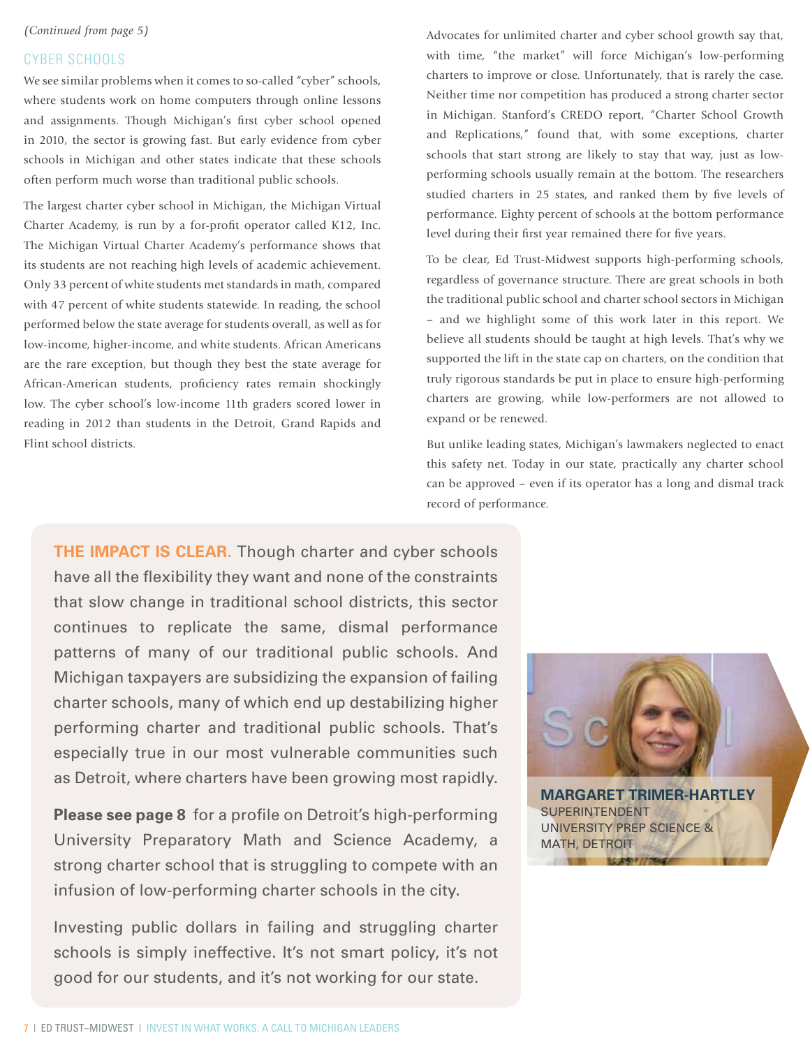#### *(Continued from page 5)*

#### CYBER Schools

We see similar problems when it comes to so-called "cyber" schools, where students work on home computers through online lessons and assignments. Though Michigan's first cyber school opened in 2010, the sector is growing fast. But early evidence from cyber schools in Michigan and other states indicate that these schools often perform much worse than traditional public schools.

The largest charter cyber school in Michigan, the Michigan Virtual Charter Academy, is run by a for-profit operator called K12, Inc. The Michigan Virtual Charter Academy's performance shows that its students are not reaching high levels of academic achievement. Only 33 percent of white students met standards in math, compared with 47 percent of white students statewide. In reading, the school performed below the state average for students overall, as well as for low-income, higher-income, and white students. African Americans are the rare exception, but though they best the state average for African-American students, proficiency rates remain shockingly low. The cyber school's low-income 11th graders scored lower in reading in 2012 than students in the Detroit, Grand Rapids and Flint school districts.

Advocates for unlimited charter and cyber school growth say that, with time, "the market" will force Michigan's low-performing charters to improve or close. Unfortunately, that is rarely the case. Neither time nor competition has produced a strong charter sector in Michigan. Stanford's CREDO report, "Charter School Growth and Replications," found that, with some exceptions, charter schools that start strong are likely to stay that way, just as lowperforming schools usually remain at the bottom. The researchers studied charters in 25 states, and ranked them by five levels of performance. Eighty percent of schools at the bottom performance level during their first year remained there for five years.

To be clear, Ed Trust-Midwest supports high-performing schools, regardless of governance structure. There are great schools in both the traditional public school and charter school sectors in Michigan – and we highlight some of this work later in this report. We believe all students should be taught at high levels. That's why we supported the lift in the state cap on charters, on the condition that truly rigorous standards be put in place to ensure high-performing charters are growing, while low-performers are not allowed to expand or be renewed.

But unlike leading states, Michigan's lawmakers neglected to enact this safety net. Today in our state, practically any charter school can be approved – even if its operator has a long and dismal track record of performance.

**THE IMPACT IS CLEAR.** Though charter and cyber schools have all the flexibility they want and none of the constraints that slow change in traditional school districts, this sector continues to replicate the same, dismal performance patterns of many of our traditional public schools. And Michigan taxpayers are subsidizing the expansion of failing charter schools, many of which end up destabilizing higher performing charter and traditional public schools. That's especially true in our most vulnerable communities such as Detroit, where charters have been growing most rapidly.

**Please see page 8** for a profile on Detroit's high-performing University Preparatory Math and Science Academy, a strong charter school that is struggling to compete with an infusion of low-performing charter schools in the city.

Investing public dollars in failing and struggling charter schools is simply ineffective. It's not smart policy, it's not good for our students, and it's not working for our state.

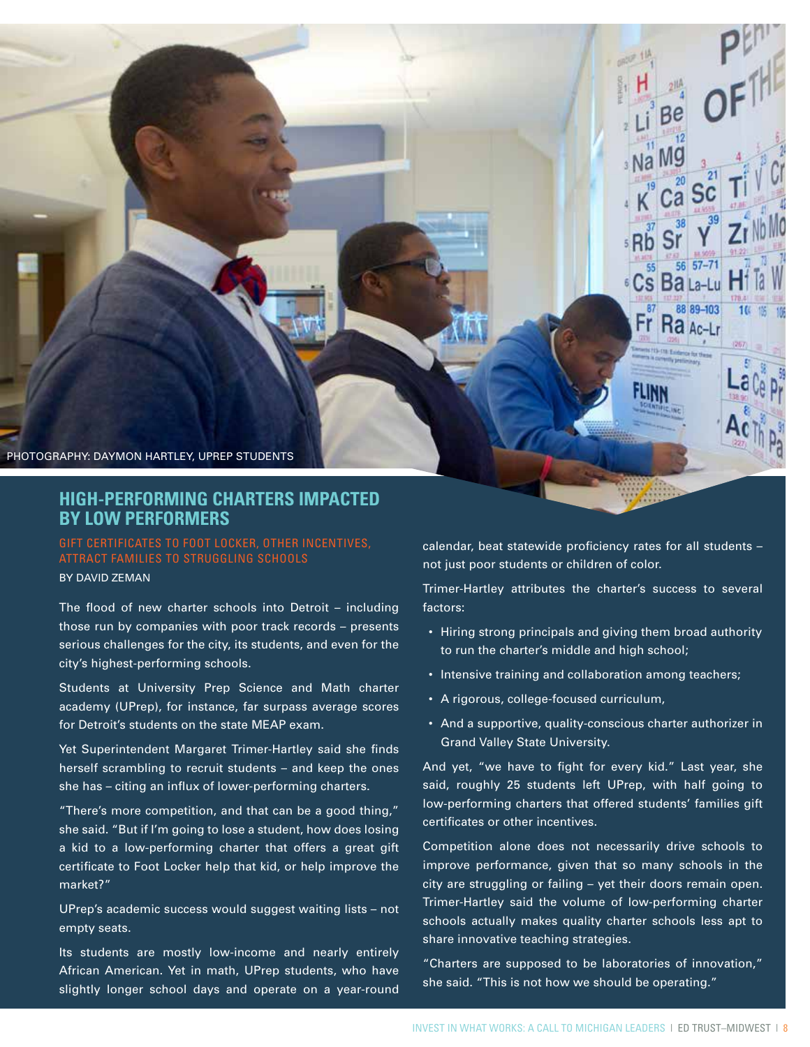Photography: Daymon Hartley, UPrep Students

## **HIGH-PERFORMING CHARTERS IMPACTED BY LOW PERFORMERS**

Gift certificates to Foot Locker, other incentives, attract families to struggling schools

By David Zeman

The flood of new charter schools into Detroit – including those run by companies with poor track records – presents serious challenges for the city, its students, and even for the city's highest-performing schools.

Students at University Prep Science and Math charter academy (UPrep), for instance, far surpass average scores for Detroit's students on the state MEAP exam.

Yet Superintendent Margaret Trimer-Hartley said she finds herself scrambling to recruit students – and keep the ones she has – citing an influx of lower-performing charters.

"There's more competition, and that can be a good thing," she said. "But if I'm going to lose a student, how does losing a kid to a low-performing charter that offers a great gift certificate to Foot Locker help that kid, or help improve the market?"

UPrep's academic success would suggest waiting lists – not empty seats.

Its students are mostly low-income and nearly entirely African American. Yet in math, UPrep students, who have slightly longer school days and operate on a year-round

calendar, beat statewide proficiency rates for all students – not just poor students or children of color.

Са

56  $57 - 71$ 

88 89-103

 $Ra_{Ac-L}$ 

 $10<sup>°</sup>$ 

<sup>6</sup> Cs Ba La-Lu

: Rb

55

۲r

Trimer-Hartley attributes the charter's success to several factors:

- Hiring strong principals and giving them broad authority to run the charter's middle and high school;
- Intensive training and collaboration among teachers;
- • A rigorous, college-focused curriculum,
- And a supportive, quality-conscious charter authorizer in Grand Valley State University.

And yet, "we have to fight for every kid." Last year, she said, roughly 25 students left UPrep, with half going to low-performing charters that offered students' families gift certificates or other incentives.

Competition alone does not necessarily drive schools to improve performance, given that so many schools in the city are struggling or failing – yet their doors remain open. Trimer-Hartley said the volume of low-performing charter schools actually makes quality charter schools less apt to share innovative teaching strategies.

"Charters are supposed to be laboratories of innovation," she said. "This is not how we should be operating."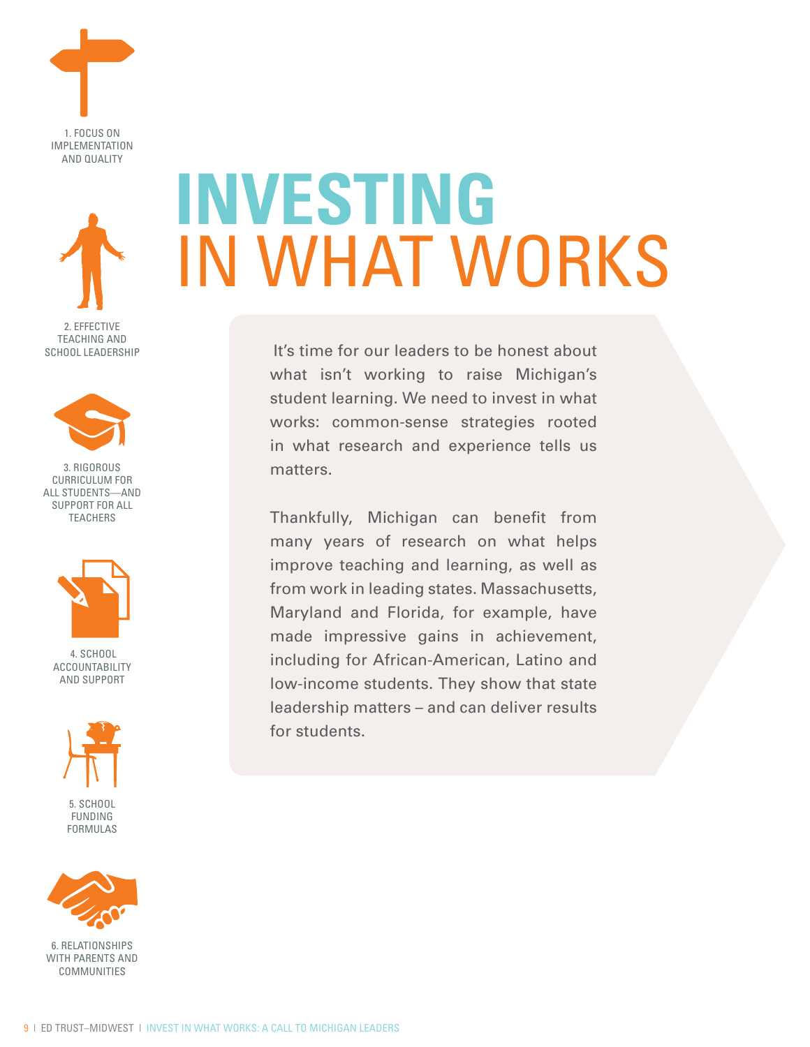



Teaching and SCHOOL LEADERSHIP



3. Rigorous CURRICULUM FOR All Students—and Support For All **TEACHERS** 



 4. School Accountability and Support



5. School Funding Formulas



6. Relationships WITH PARENTS AND **COMMUNITIES** 

# **Investing** In What Works

It's time for our leaders to be honest about what isn't working to raise Michigan's student learning. We need to invest in what works: common-sense strategies rooted in what research and experience tells us matters.

Thankfully, Michigan can benefit from many years of research on what helps improve teaching and learning, as well as from work in leading states. Massachusetts, Maryland and Florida, for example, have made impressive gains in achievement, including for African-American, Latino and low-income students. They show that state leadership matters – and can deliver results for students.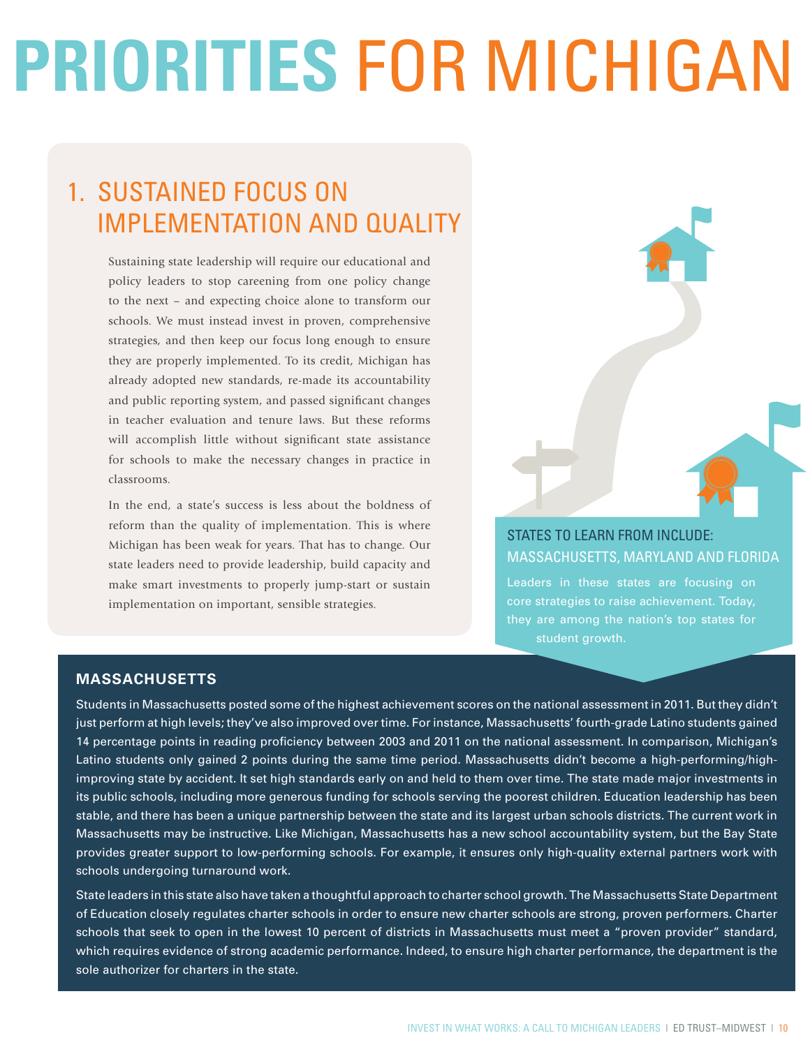# **Priorities** for Michigan

# 1. Sustained focus on Implementation and quality

Sustaining state leadership will require our educational and policy leaders to stop careening from one policy change to the next – and expecting choice alone to transform our schools. We must instead invest in proven, comprehensive strategies, and then keep our focus long enough to ensure they are properly implemented. To its credit, Michigan has already adopted new standards, re-made its accountability and public reporting system, and passed significant changes in teacher evaluation and tenure laws. But these reforms will accomplish little without significant state assistance for schools to make the necessary changes in practice in classrooms.

In the end, a state's success is less about the boldness of reform than the quality of implementation. This is where Michigan has been weak for years. That has to change. Our state leaders need to provide leadership, build capacity and make smart investments to properly jump-start or sustain implementation on important, sensible strategies.



## STATES TO LEARN FROM INCLUDE: Massachusetts, Maryland and Florida

Leaders in these states are focusing on core strategies to raise achievement. Today, they are among the nation's top states for student growth.

### **MASSACHUSETTS**

Students in Massachusetts posted some of the highest achievement scores on the national assessment in 2011. But they didn't just perform at high levels; they've also improved over time. For instance, Massachusetts' fourth-grade Latino students gained 14 percentage points in reading proficiency between 2003 and 2011 on the national assessment. In comparison, Michigan's Latino students only gained 2 points during the same time period. Massachusetts didn't become a high-performing/highimproving state by accident. It set high standards early on and held to them over time. The state made major investments in its public schools, including more generous funding for schools serving the poorest children. Education leadership has been stable, and there has been a unique partnership between the state and its largest urban schools districts. The current work in Massachusetts may be instructive. Like Michigan, Massachusetts has a new school accountability system, but the Bay State provides greater support to low-performing schools. For example, it ensures only high-quality external partners work with schools undergoing turnaround work.

State leaders in this state also have taken a thoughtful approach to charter school growth. The Massachusetts State Department of Education closely regulates charter schools in order to ensure new charter schools are strong, proven performers. Charter schools that seek to open in the lowest 10 percent of districts in Massachusetts must meet a "proven provider" standard, which requires evidence of strong academic performance. Indeed, to ensure high charter performance, the department is the sole authorizer for charters in the state.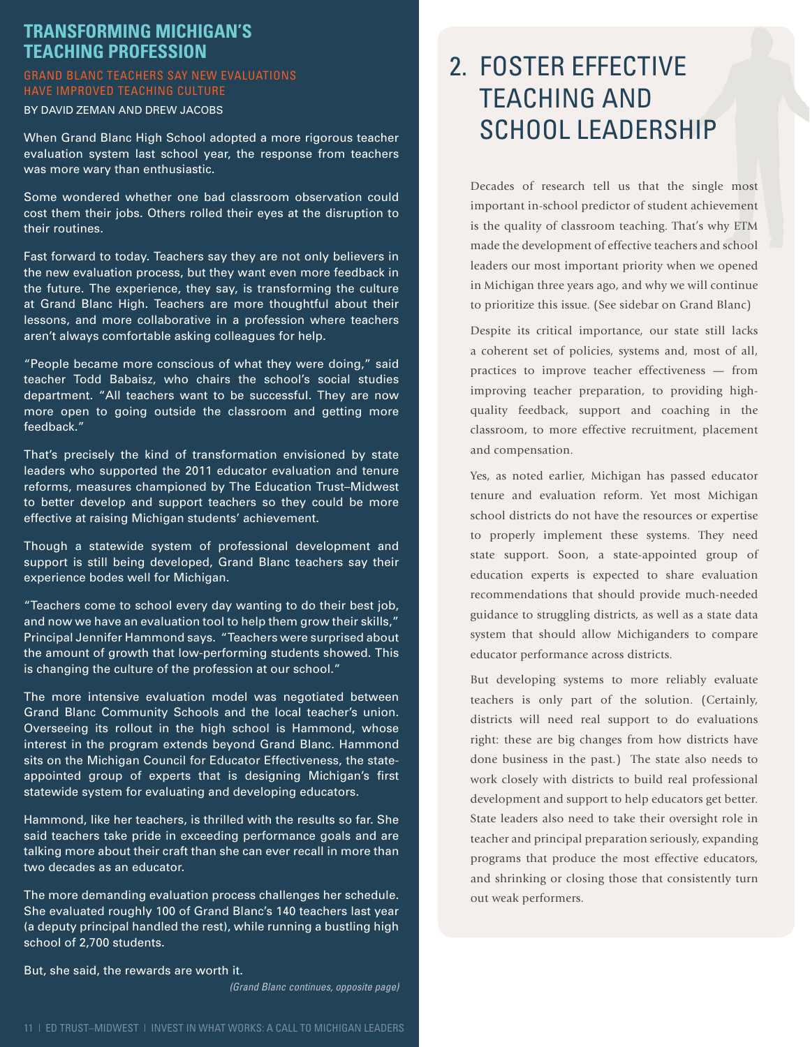## **Transforming Michigan's Teaching Profession**

#### Grand Blanc teachers say new evaluations have improved teaching culture

By David Zeman and Drew Jacobs

When Grand Blanc High School adopted a more rigorous teacher evaluation system last school year, the response from teachers was more wary than enthusiastic.

Some wondered whether one bad classroom observation could cost them their jobs. Others rolled their eyes at the disruption to their routines.

Fast forward to today. Teachers say they are not only believers in the new evaluation process, but they want even more feedback in the future. The experience, they say, is transforming the culture at Grand Blanc High. Teachers are more thoughtful about their lessons, and more collaborative in a profession where teachers aren't always comfortable asking colleagues for help.

"People became more conscious of what they were doing," said teacher Todd Babaisz, who chairs the school's social studies department. "All teachers want to be successful. They are now more open to going outside the classroom and getting more feedback."

That's precisely the kind of transformation envisioned by state leaders who supported the 2011 educator evaluation and tenure reforms, measures championed by The Education Trust–Midwest to better develop and support teachers so they could be more effective at raising Michigan students' achievement.

Though a statewide system of professional development and support is still being developed, Grand Blanc teachers say their experience bodes well for Michigan.

"Teachers come to school every day wanting to do their best job, and now we have an evaluation tool to help them grow their skills," Principal Jennifer Hammond says. "Teachers were surprised about the amount of growth that low-performing students showed. This is changing the culture of the profession at our school."

The more intensive evaluation model was negotiated between Grand Blanc Community Schools and the local teacher's union. Overseeing its rollout in the high school is Hammond, whose interest in the program extends beyond Grand Blanc. Hammond sits on the Michigan Council for Educator Effectiveness, the stateappointed group of experts that is designing Michigan's first statewide system for evaluating and developing educators.

Hammond, like her teachers, is thrilled with the results so far. She said teachers take pride in exceeding performance goals and are talking more about their craft than she can ever recall in more than two decades as an educator.

The more demanding evaluation process challenges her schedule. She evaluated roughly 100 of Grand Blanc's 140 teachers last year (a deputy principal handled the rest), while running a bustling high school of 2,700 students.

But, she said, the rewards are worth it.

*(Grand Blanc continues, opposite page)*

## 2. Foster Effective Teaching and SCHOOL LEADERSHIP

Decades of research tell us that the single most important in-school predictor of student achievement is the quality of classroom teaching. That's why ETM made the development of effective teachers and school leaders our most important priority when we opened in Michigan three years ago, and why we will continue to prioritize this issue. (See sidebar on Grand Blanc)

Despite its critical importance, our state still lacks a coherent set of policies, systems and, most of all, practices to improve teacher effectiveness — from improving teacher preparation, to providing highquality feedback, support and coaching in the classroom, to more effective recruitment, placement and compensation.

Yes, as noted earlier, Michigan has passed educator tenure and evaluation reform. Yet most Michigan school districts do not have the resources or expertise to properly implement these systems. They need state support. Soon, a state-appointed group of education experts is expected to share evaluation recommendations that should provide much-needed guidance to struggling districts, as well as a state data system that should allow Michiganders to compare educator performance across districts.

But developing systems to more reliably evaluate teachers is only part of the solution. (Certainly, districts will need real support to do evaluations right: these are big changes from how districts have done business in the past.) The state also needs to work closely with districts to build real professional development and support to help educators get better. State leaders also need to take their oversight role in teacher and principal preparation seriously, expanding programs that produce the most effective educators, and shrinking or closing those that consistently turn out weak performers.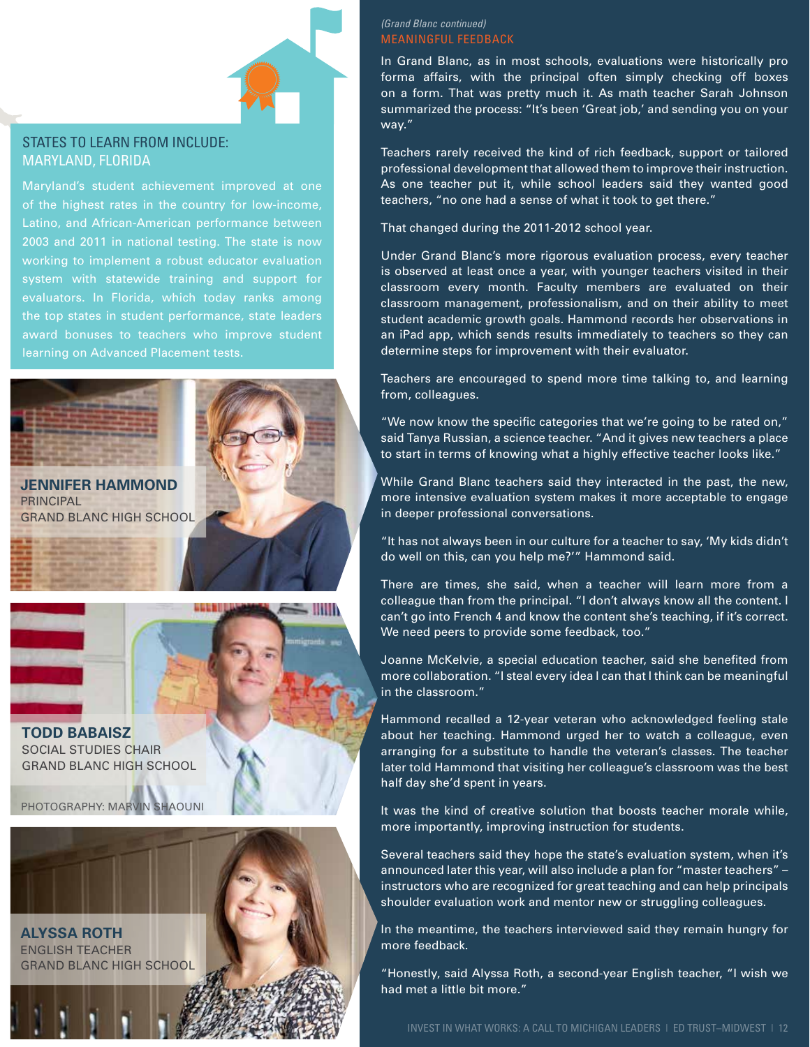#### States to learn from include: Maryland, Florida

of the highest rates in the country for low-income, Latino, and African-American performance between 2003 and 2011 in national testing. The state is now working to implement a robust educator evaluation system with statewide training and support for evaluators. In Florida, which today ranks among learning on Advanced Placement tests.



**Jennifer Hammond PRINCIPAL** Grand Blanc High School

**Todd Babaisz** Social Studies Chair Grand Blanc High School

Photography: Marvin Shaouni



#### *(Grand Blanc continued)* Meaningful Feedback

In Grand Blanc, as in most schools, evaluations were historically pro forma affairs, with the principal often simply checking off boxes on a form. That was pretty much it. As math teacher Sarah Johnson summarized the process: "It's been 'Great job,' and sending you on your way."

Teachers rarely received the kind of rich feedback, support or tailored professional development that allowed them to improve their instruction. As one teacher put it, while school leaders said they wanted good teachers, "no one had a sense of what it took to get there."

That changed during the 2011-2012 school year.

Under Grand Blanc's more rigorous evaluation process, every teacher is observed at least once a year, with younger teachers visited in their classroom every month. Faculty members are evaluated on their classroom management, professionalism, and on their ability to meet student academic growth goals. Hammond records her observations in an iPad app, which sends results immediately to teachers so they can determine steps for improvement with their evaluator.

Teachers are encouraged to spend more time talking to, and learning from, colleagues.

"We now know the specific categories that we're going to be rated on," said Tanya Russian, a science teacher. "And it gives new teachers a place to start in terms of knowing what a highly effective teacher looks like."

While Grand Blanc teachers said they interacted in the past, the new, more intensive evaluation system makes it more acceptable to engage in deeper professional conversations.

"It has not always been in our culture for a teacher to say, 'My kids didn't do well on this, can you help me?'" Hammond said.

There are times, she said, when a teacher will learn more from a colleague than from the principal. "I don't always know all the content. I can't go into French 4 and know the content she's teaching, if it's correct. We need peers to provide some feedback, too."

Joanne McKelvie, a special education teacher, said she benefited from more collaboration. "I steal every idea I can that I think can be meaningful in the classroom."

Hammond recalled a 12-year veteran who acknowledged feeling stale about her teaching. Hammond urged her to watch a colleague, even arranging for a substitute to handle the veteran's classes. The teacher later told Hammond that visiting her colleague's classroom was the best half day she'd spent in years.

It was the kind of creative solution that boosts teacher morale while, more importantly, improving instruction for students.

Several teachers said they hope the state's evaluation system, when it's announced later this year, will also include a plan for "master teachers" – instructors who are recognized for great teaching and can help principals shoulder evaluation work and mentor new or struggling colleagues.

In the meantime, the teachers interviewed said they remain hungry for more feedback.

"Honestly, said Alyssa Roth, a second-year English teacher, "I wish we had met a little bit more."

Invest in What Works: A Call to Michigan Leaders | Ed Trust–MiDwest | 12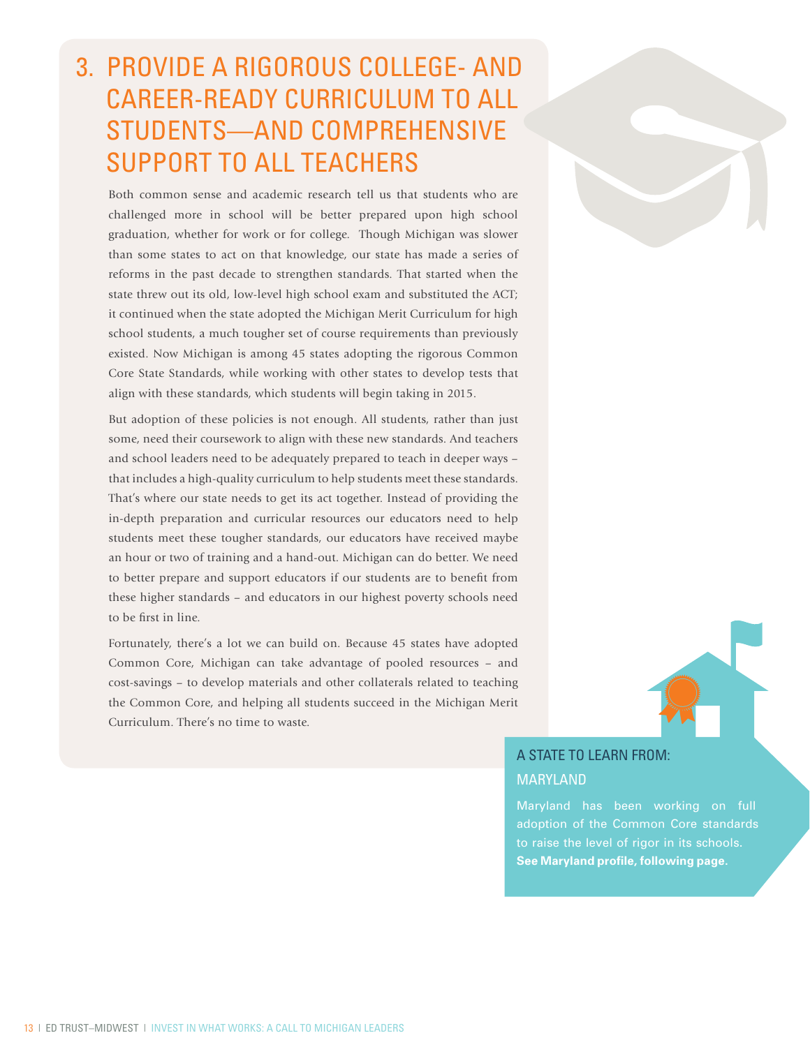# 3. Provide A Rigorous College- and Career-Ready Curriculum to All Students—and Comprehensive Support to All Teachers

Both common sense and academic research tell us that students who are challenged more in school will be better prepared upon high school graduation, whether for work or for college. Though Michigan was slower than some states to act on that knowledge, our state has made a series of reforms in the past decade to strengthen standards. That started when the state threw out its old, low-level high school exam and substituted the ACT; it continued when the state adopted the Michigan Merit Curriculum for high school students, a much tougher set of course requirements than previously existed. Now Michigan is among 45 states adopting the rigorous Common Core State Standards, while working with other states to develop tests that align with these standards, which students will begin taking in 2015.

But adoption of these policies is not enough. All students, rather than just some, need their coursework to align with these new standards. And teachers and school leaders need to be adequately prepared to teach in deeper ways – that includes a high-quality curriculum to help students meet these standards. That's where our state needs to get its act together. Instead of providing the in-depth preparation and curricular resources our educators need to help students meet these tougher standards, our educators have received maybe an hour or two of training and a hand-out. Michigan can do better. We need to better prepare and support educators if our students are to benefit from these higher standards – and educators in our highest poverty schools need to be first in line.

Fortunately, there's a lot we can build on. Because 45 states have adopted Common Core, Michigan can take advantage of pooled resources – and cost-savings – to develop materials and other collaterals related to teaching the Common Core, and helping all students succeed in the Michigan Merit Curriculum. There's no time to waste.



A STATE TO LEARN FROM: **MARYLAND** 

adoption of the Common Core standards to raise the level of rigor in its schools. **See Maryland profile, following page.**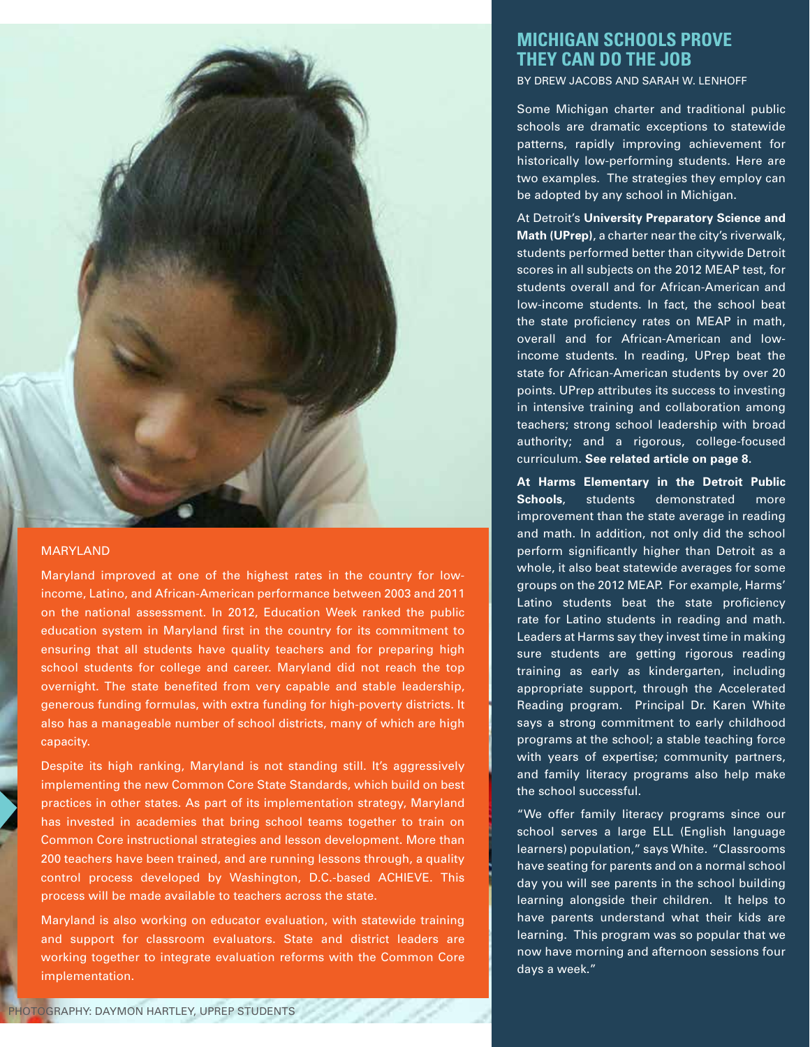

#### MARYLAND

Maryland improved at one of the highest rates in the country for lowincome, Latino, and African-American performance between 2003 and 2011 on the national assessment. In 2012, Education Week ranked the public education system in Maryland first in the country for its commitment to ensuring that all students have quality teachers and for preparing high school students for college and career. Maryland did not reach the top overnight. The state benefited from very capable and stable leadership, generous funding formulas, with extra funding for high-poverty districts. It also has a manageable number of school districts, many of which are high capacity.

Despite its high ranking, Maryland is not standing still. It's aggressively implementing the new Common Core State Standards, which build on best practices in other states. As part of its implementation strategy, Maryland has invested in academies that bring school teams together to train on Common Core instructional strategies and lesson development. More than 200 teachers have been trained, and are running lessons through, a quality control process developed by Washington, D.C.-based ACHIEVE. This process will be made available to teachers across the state.

Maryland is also working on educator evaluation, with statewide training and support for classroom evaluators. State and district leaders are working together to integrate evaluation reforms with the Common Core implementation.

By Drew Jacobs and Sarah W. Lenhoff

Some Michigan charter and traditional public schools are dramatic exceptions to statewide patterns, rapidly improving achievement for historically low-performing students. Here are two examples. The strategies they employ can be adopted by any school in Michigan.

At Detroit's **University Preparatory Science and Math (UPrep)**, a charter near the city's riverwalk, students performed better than citywide Detroit scores in all subjects on the 2012 MEAP test, for students overall and for African-American and low-income students. In fact, the school beat the state proficiency rates on MEAP in math, overall and for African-American and lowincome students. In reading, UPrep beat the state for African-American students by over 20 points. UPrep attributes its success to investing in intensive training and collaboration among teachers; strong school leadership with broad authority; and a rigorous, college-focused curriculum. **See related article on page 8.**

**At Harms Elementary in the Detroit Public Schools**, students demonstrated more improvement than the state average in reading and math. In addition, not only did the school perform significantly higher than Detroit as a whole, it also beat statewide averages for some groups on the 2012 MEAP. For example, Harms' Latino students beat the state proficiency rate for Latino students in reading and math. Leaders at Harms say they invest time in making sure students are getting rigorous reading training as early as kindergarten, including appropriate support, through the Accelerated Reading program. Principal Dr. Karen White says a strong commitment to early childhood programs at the school; a stable teaching force with years of expertise; community partners, and family literacy programs also help make the school successful.

"We offer family literacy programs since our school serves a large ELL (English language learners) population," says White. "Classrooms have seating for parents and on a normal school day you will see parents in the school building learning alongside their children. It helps to have parents understand what their kids are learning. This program was so popular that we now have morning and afternoon sessions four days a week."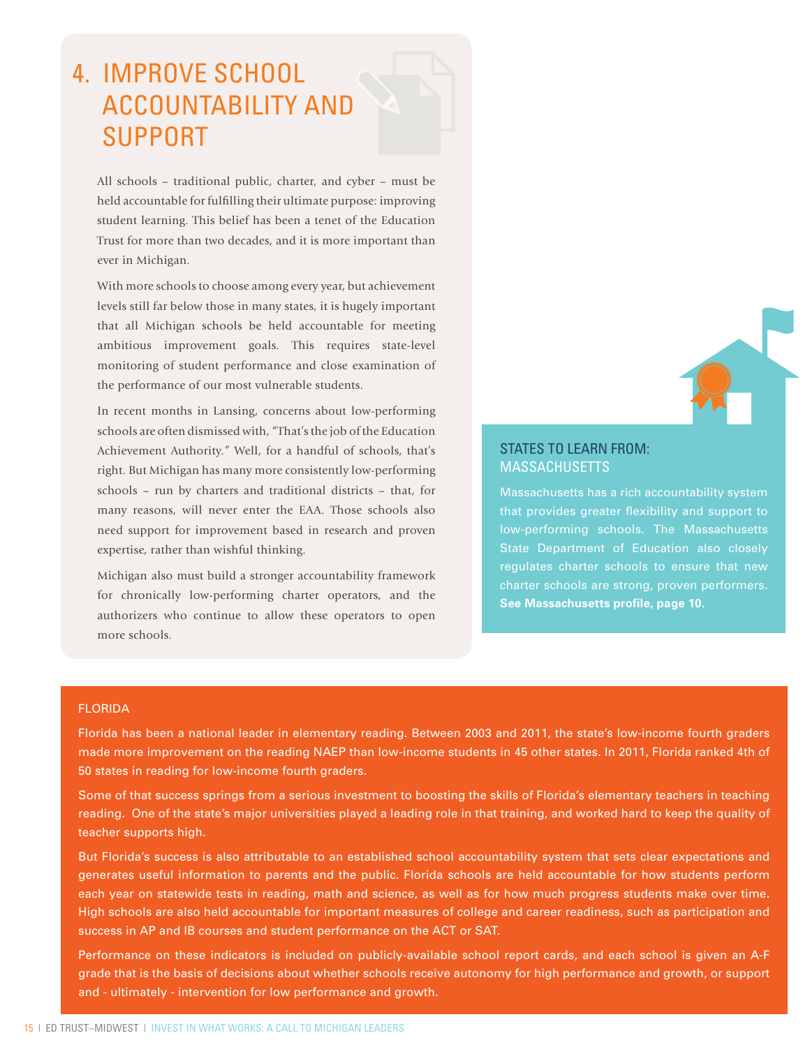# 4. Improve School Accountability and **SUPPORT**

All schools – traditional public, charter, and cyber – must be held accountable for fulfilling their ultimate purpose: improving student learning. This belief has been a tenet of the Education Trust for more than two decades, and it is more important than ever in Michigan.

With more schools to choose among every year, but achievement levels still far below those in many states, it is hugely important that all Michigan schools be held accountable for meeting ambitious improvement goals. This requires state-level monitoring of student performance and close examination of the performance of our most vulnerable students.

In recent months in Lansing, concerns about low-performing schools are often dismissed with, "That's the job of the Education Achievement Authority." Well, for a handful of schools, that's right. But Michigan has many more consistently low-performing schools – run by charters and traditional districts – that, for many reasons, will never enter the EAA. Those schools also need support for improvement based in research and proven expertise, rather than wishful thinking.

Michigan also must build a stronger accountability framework for chronically low-performing charter operators, and the authorizers who continue to allow these operators to open more schools.

#### STATES TO LEARN FROM: **MASSACHUSETTS**

Massachusetts has a rich accountability system that provides greater flexibility and support to State Department of Education also closely regulates charter schools to ensure that new charter schools are strong, proven performers. **See Massachusetts profile, page 10.** 

#### Florida

Florida has been a national leader in elementary reading. Between 2003 and 2011, the state's low-income fourth graders made more improvement on the reading NAEP than low-income students in 45 other states. In 2011, Florida ranked 4th of 50 states in reading for low-income fourth graders.

Some of that success springs from a serious investment to boosting the skills of Florida's elementary teachers in teaching reading. One of the state's major universities played a leading role in that training, and worked hard to keep the quality of teacher supports high.

But Florida's success is also attributable to an established school accountability system that sets clear expectations and generates useful information to parents and the public. Florida schools are held accountable for how students perform each year on statewide tests in reading, math and science, as well as for how much progress students make over time. High schools are also held accountable for important measures of college and career readiness, such as participation and success in AP and IB courses and student performance on the ACT or SAT.

Performance on these indicators is included on publicly-available school report cards, and each school is given an A-F grade that is the basis of decisions about whether schools receive autonomy for high performance and growth, or support and - ultimately - intervention for low performance and growth.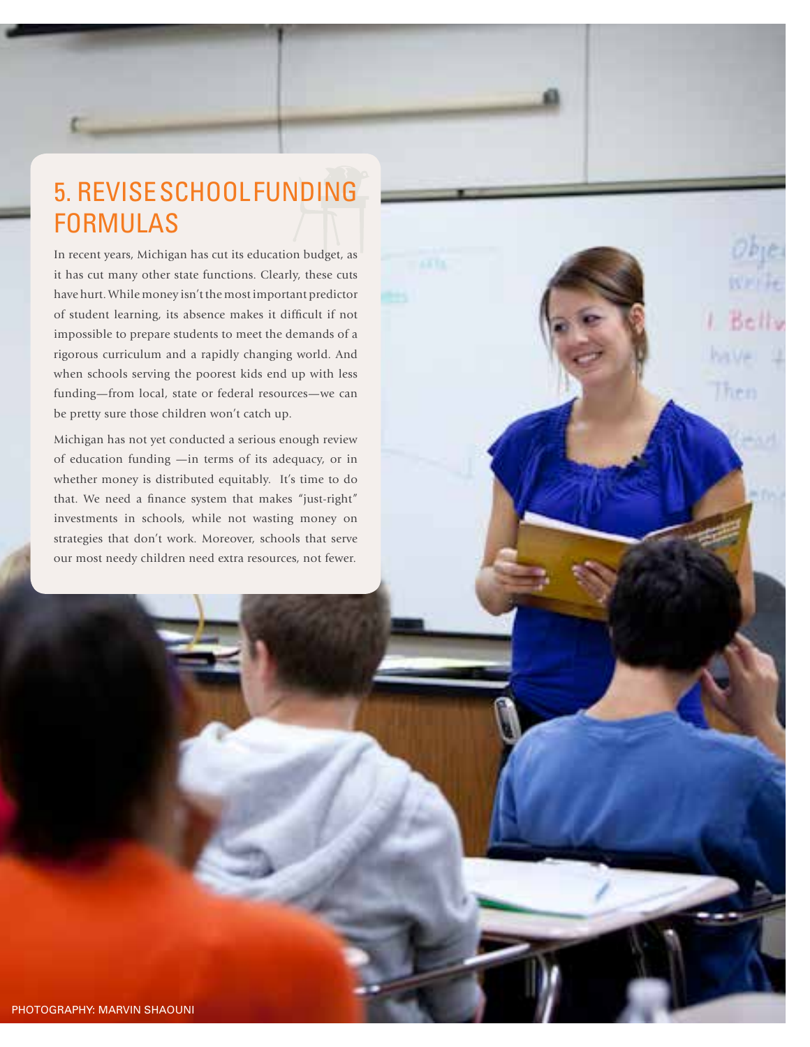# 5. Revise School Funding **FORMULAS**

In recent years, Michigan has cut its education budget, as it has cut many other state functions. Clearly, these cuts have hurt. While money isn't the most important predictor of student learning, its absence makes it difficult if not impossible to prepare students to meet the demands of a rigorous curriculum and a rapidly changing world. And when schools serving the poorest kids end up with less funding—from local, state or federal resources—we can be pretty sure those children won't catch up.

Bells

en

Michigan has not yet conducted a serious enough review of education funding —in terms of its adequacy, or in whether money is distributed equitably. It's time to do that. We need a finance system that makes "just-right" investments in schools, while not wasting money on strategies that don't work. Moreover, schools that serve our most needy children need extra resources, not fewer.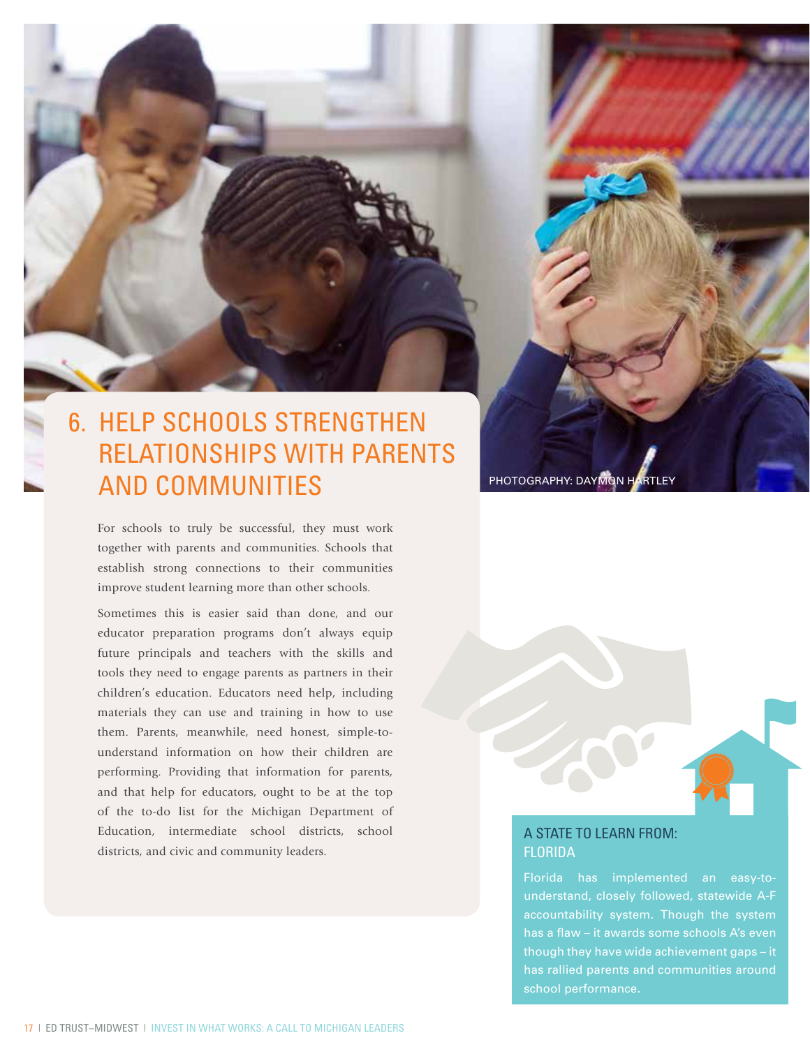# 6. Help Schools Strengthen Relationships with Parents AND COMMUNITIES PHOTOGRAPHY: DAYMON HARTLEY

For schools to truly be successful, they must work together with parents and communities. Schools that establish strong connections to their communities improve student learning more than other schools.

Sometimes this is easier said than done, and our educator preparation programs don't always equip future principals and teachers with the skills and tools they need to engage parents as partners in their children's education. Educators need help, including materials they can use and training in how to use them. Parents, meanwhile, need honest, simple-tounderstand information on how their children are performing. Providing that information for parents, and that help for educators, ought to be at the top of the to-do list for the Michigan Department of Education, intermediate school districts, school districts, and civic and community leaders.

### A STATE TO LEARN FROM: **FLORIDA**

understand, closely followed, statewide A-F accountability system. Though the system though they have wide achievement gaps – it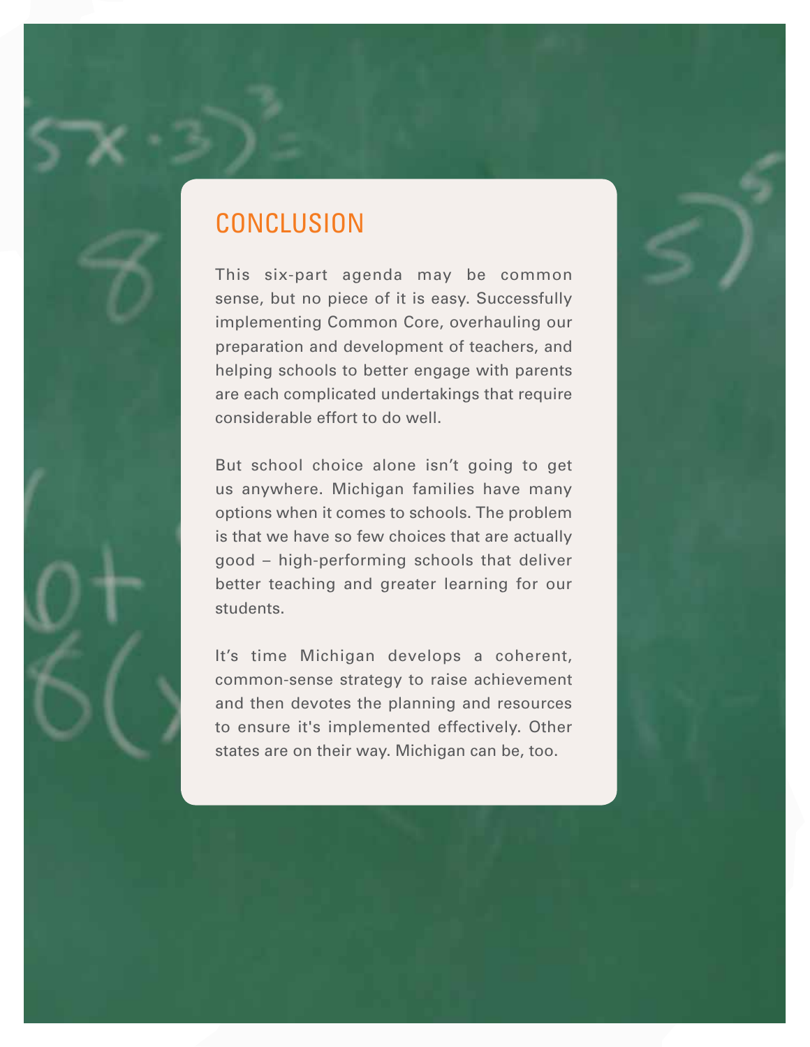## **CONCLUSION**

This six-part agenda may be common sense, but no piece of it is easy. Successfully implementing Common Core, overhauling our preparation and development of teachers, and helping schools to better engage with parents are each complicated undertakings that require considerable effort to do well.

But school choice alone isn't going to get us anywhere. Michigan families have many options when it comes to schools. The problem is that we have so few choices that are actually good – high-performing schools that deliver better teaching and greater learning for our students.

It's time Michigan develops a coherent, common-sense strategy to raise achievement and then devotes the planning and resources to ensure it's implemented effectively. Other states are on their way. Michigan can be, too.